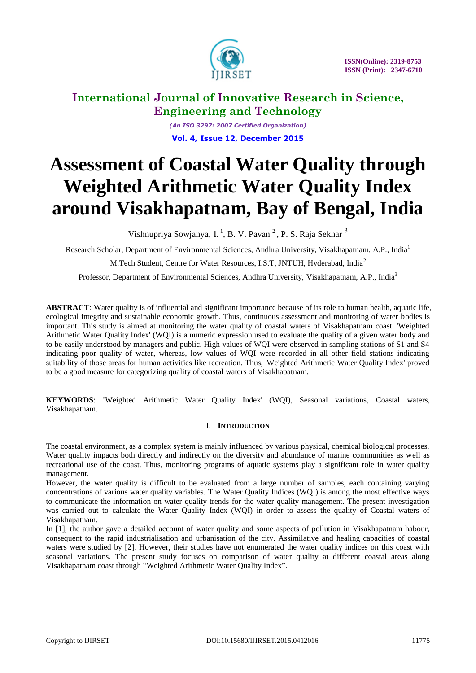

*(An ISO 3297: 2007 Certified Organization)* **Vol. 4, Issue 12, December 2015**

# **Assessment of Coastal Water Quality through Weighted Arithmetic Water Quality Index around Visakhapatnam, Bay of Bengal, India**

Vishnupriya Sowjanya, I.<sup>1</sup>, B. V. Pavan<sup>2</sup>, P. S. Raja Sekhar<sup>3</sup>

Research Scholar, Department of Environmental Sciences, Andhra University, Visakhapatnam, A.P., India<sup>1</sup>

M.Tech Student, Centre for Water Resources, I.S.T, JNTUH, Hyderabad, India<sup>2</sup>

Professor, Department of Environmental Sciences, Andhra University, Visakhapatnam, A.P., India<sup>3</sup>

**ABSTRACT**: Water quality is of influential and significant importance because of its role to human health, aquatic life, ecological integrity and sustainable economic growth. Thus, continuous assessment and monitoring of water bodies is important. This study is aimed at monitoring the water quality of coastal waters of Visakhapatnam coast. 'Weighted Arithmetic Water Quality Index' (WQI) is a numeric expression used to evaluate the quality of a given water body and to be easily understood by managers and public. High values of WQI were observed in sampling stations of S1 and S4 indicating poor quality of water, whereas, low values of WQI were recorded in all other field stations indicating suitability of those areas for human activities like recreation. Thus, 'Weighted Arithmetic Water Quality Index' proved to be a good measure for categorizing quality of coastal waters of Visakhapatnam.

**KEYWORDS**: **'**Weighted Arithmetic Water Quality Index' (WQI), Seasonal variations, Coastal waters, Visakhapatnam.

### I. **INTRODUCTION**

The coastal environment, as a complex system is mainly influenced by various physical, chemical biological processes. Water quality impacts both directly and indirectly on the diversity and abundance of marine communities as well as recreational use of the coast. Thus, monitoring programs of aquatic systems play a significant role in water quality management.

However, the water quality is difficult to be evaluated from a large number of samples, each containing varying concentrations of various water quality variables. The Water Quality Indices (WQI) is among the most effective ways to communicate the information on water quality trends for the water quality management. The present investigation was carried out to calculate the Water Quality Index (WQI) in order to assess the quality of Coastal waters of Visakhapatnam.

In [1], the author gave a detailed account of water quality and some aspects of pollution in Visakhapatnam habour, consequent to the rapid industrialisation and urbanisation of the city. Assimilative and healing capacities of coastal waters were studied by [2]. However, their studies have not enumerated the water quality indices on this coast with seasonal variations. The present study focuses on comparison of water quality at different coastal areas along Visakhapatnam coast through "Weighted Arithmetic Water Quality Index".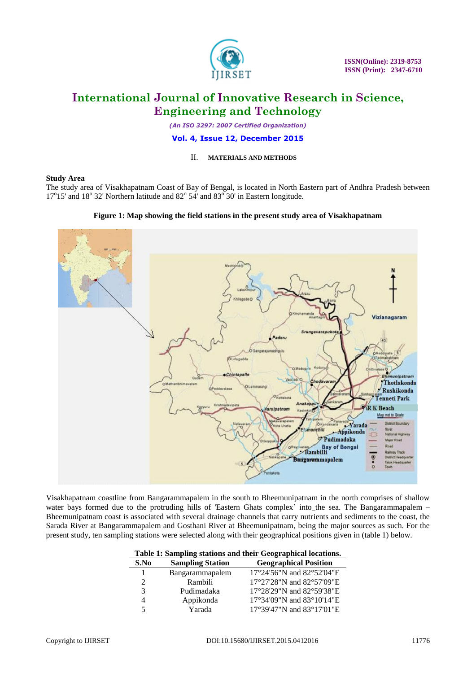

*(An ISO 3297: 2007 Certified Organization)*

#### **Vol. 4, Issue 12, December 2015**

### II. **MATERIALS AND METHODS**

#### **Study Area**

The study area of Visakhapatnam Coast of Bay of Bengal, is located in North Eastern part of Andhra Pradesh between 17°15' and 18° 32' Northern latitude and 82° 54' and 83° 30' in Eastern longitude.

#### **Figure 1: Map showing the field stations in the present study area of Visakhapatnam**



Visakhapatnam coastline from Bangarammapalem in the south to Bheemunipatnam in the north comprises of shallow water bays formed due to the protruding hills of 'Eastern Ghats complex' into the sea. The Bangarammapalem -Bheemunipatnam coast is associated with several drainage channels that carry nutrients and sediments to the coast, the Sarada River at Bangarammapalem and Gosthani River at Bheemunipatnam, being the major sources as such. For the present study, ten sampling stations were selected along with their geographical positions given in (table 1) below.

|      | Table 1: Sampling stations and their Geographical locations. |                              |  |  |  |  |  |  |  |  |
|------|--------------------------------------------------------------|------------------------------|--|--|--|--|--|--|--|--|
| S.No | <b>Sampling Station</b>                                      | <b>Geographical Position</b> |  |  |  |  |  |  |  |  |
| 1    | Bangarammapalem                                              | 17°24'56"N and 82°52'04"E    |  |  |  |  |  |  |  |  |
| 2    | Rambili                                                      | 17°27'28"N and 82°57'09"E    |  |  |  |  |  |  |  |  |
| 3    | Pudimadaka                                                   | 17°28'29"N and 82°59'38"E    |  |  |  |  |  |  |  |  |
| 4    | Appikonda                                                    | 17°34'09"N and 83°10'14"E    |  |  |  |  |  |  |  |  |
| 5    | Yarada                                                       | 17°39'47"N and 83°17'01"E    |  |  |  |  |  |  |  |  |

|  |  |  |  |  |  |  |  | Table 1: Sampling stations and their Geographical locations. |
|--|--|--|--|--|--|--|--|--------------------------------------------------------------|
|--|--|--|--|--|--|--|--|--------------------------------------------------------------|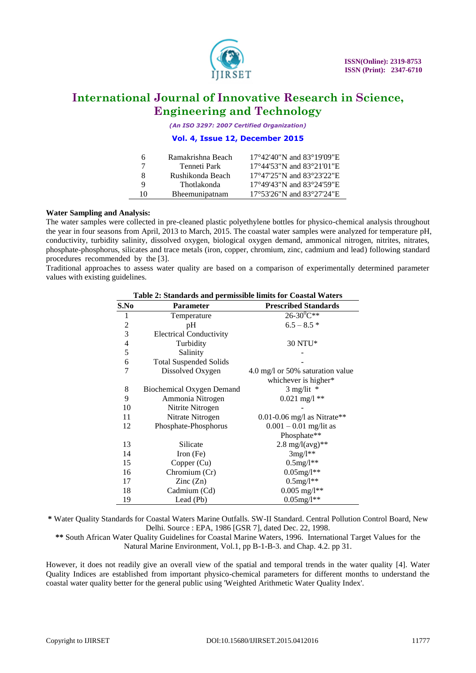

*(An ISO 3297: 2007 Certified Organization)*

### **Vol. 4, Issue 12, December 2015**

| 6  | Ramakrishna Beach | $17^{\circ}42'40''$ N and $83^{\circ}19'09''$ E |
|----|-------------------|-------------------------------------------------|
|    | Tenneti Park      | 17°44'53"N and 83°21'01"E                       |
| x  | Rushikonda Beach  | $17^{\circ}47'25''$ N and $83^{\circ}23'22''$ E |
| Q  | Thotlakonda       | 17°49'43"N and 83°24'59"E                       |
| 10 | Bheemunipatnam    | 17°53'26"N and 83°27'24"E                       |

#### **Water Sampling and Analysis:**

The water samples were collected in pre-cleaned plastic polyethylene bottles for physico-chemical analysis throughout the year in four seasons from April, 2013 to March, 2015. The coastal water samples were analyzed for temperature pH, conductivity, turbidity salinity, dissolved oxygen, biological oxygen demand, ammonical nitrogen, nitrites, nitrates, phosphate-phosphorus, silicates and trace metals (iron, copper, chromium, zinc, cadmium and lead) following standard procedures recommended by the [3].

Traditional approaches to assess water quality are based on a comparison of experimentally determined parameter values with existing guidelines.

| S.No | <b>Parameter</b>                 | <b>Prescribed Standards</b>         |
|------|----------------------------------|-------------------------------------|
| 1    | Temperature                      | $26 - 30^{0}C^{**}$                 |
| 2    | pH                               | $6.5 - 8.5*$                        |
| 3    | <b>Electrical Conductivity</b>   |                                     |
| 4    | Turbidity                        | 30 NTU*                             |
| 5    | Salinity                         |                                     |
| 6    | <b>Total Suspended Solids</b>    |                                     |
| 7    | Dissolved Oxygen                 | 4.0 mg/l or 50% saturation value    |
|      |                                  | whichever is higher*                |
| 8    | <b>Biochemical Oxygen Demand</b> | $3$ mg/lit $*$                      |
| 9    | Ammonia Nitrogen                 | $0.021$ mg/l **                     |
| 10   | Nitrite Nitrogen                 |                                     |
| 11   | Nitrate Nitrogen                 | $0.01$ -0.06 mg/l as Nitrate**      |
| 12   | Phosphate-Phosphorus             | $0.001 - 0.01$ mg/lit as            |
|      |                                  | Phosphate**                         |
| 13   | Silicate                         | $2.8 \text{ mg}/l(\text{avg})^{**}$ |
| 14   | Iron $(Fe)$                      | $3mg/l**$                           |
| 15   | Copper (Cu)                      | $0.5$ mg/l**                        |
| 16   | Chromium (Cr)                    | $0.05$ mg/l**                       |
| 17   | $\text{Zinc}(\text{Zn})$         | $0.5$ mg/l $**$                     |
| 18   | Cadmium (Cd)                     | $0.005$ mg/l**                      |
| 19   | Lead (Pb)                        | $0.05$ mg/l**                       |

#### **Table 2: Standards and permissible limits for Coastal Waters**

**\*** Water Quality Standards for Coastal Waters Marine Outfalls. SW-II Standard. Central Pollution Control Board, New Delhi. Source : EPA, 1986 [GSR 7], dated Dec. 22, 1998.

**\*\*** South African Water Quality Guidelines for Coastal Marine Waters, 1996. International Target Values for the Natural Marine Environment, Vol.1, pp B-1-B-3. and Chap. 4.2. pp 31.

However, it does not readily give an overall view of the spatial and temporal trends in the water quality [4]. Water Quality Indices are established from important physico-chemical parameters for different months to understand the coastal water quality better for the general public using 'Weighted Arithmetic Water Quality Index'.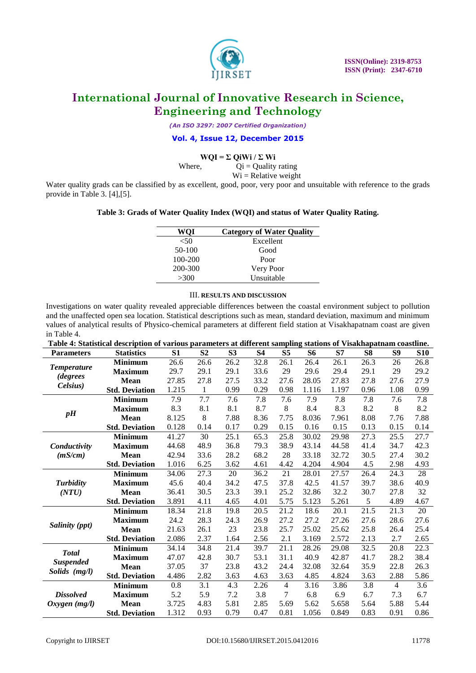

*(An ISO 3297: 2007 Certified Organization)*

#### **Vol. 4, Issue 12, December 2015**

### $WOI = \Sigma$  QiWi /  $\Sigma$  Wi

Where,  $Qi =$ Quality rating  $Wi = Relative weight$ 

Water quality grads can be classified by as excellent, good, poor, very poor and unsuitable with reference to the grads provide in Table 3. [4],[5].

#### **Table 3: Grads of Water Quality Index (WQI) and status of Water Quality Rating.**

| <b>WOI</b> | <b>Category of Water Quality</b> |
|------------|----------------------------------|
| ${<}50$    | Excellent                        |
| $50-100$   | Good                             |
| 100-200    | Poor                             |
| 200-300    | Very Poor                        |
| >300       | Unsuitable                       |

### III. **RESULTS AND DISCUSSION**

Investigations on water quality revealed appreciable differences between the coastal environment subject to pollution and the unaffected open sea location. Statistical descriptions such as mean, standard deviation, maximum and minimum values of analytical results of Physico-chemical parameters at different field station at Visakhapatnam coast are given in Table 4.

| Table 4: Statistical description of various parameters at different sampling stations of Visakhapatnam coastline. |                       |                |                |                |           |                |           |       |                |                |            |
|-------------------------------------------------------------------------------------------------------------------|-----------------------|----------------|----------------|----------------|-----------|----------------|-----------|-------|----------------|----------------|------------|
| <b>Parameters</b>                                                                                                 | <b>Statistics</b>     | S <sub>1</sub> | S <sub>2</sub> | S <sub>3</sub> | <b>S4</b> | S <sub>5</sub> | <b>S6</b> | S7    | S <sub>8</sub> | <b>S9</b>      | <b>S10</b> |
| <b>Temperature</b>                                                                                                | <b>Minimum</b>        | 26.6           | 26.6           | 26.2           | 32.8      | 26.1           | 26.4      | 26.1  | 26.3           | 26             | 26.8       |
|                                                                                                                   | <b>Maximum</b>        | 29.7           | 29.1           | 29.1           | 33.6      | 29             | 29.6      | 29.4  | 29.1           | 29             | 29.2       |
| <i>degrees</i>                                                                                                    | <b>Mean</b>           | 27.85          | 27.8           | 27.5           | 33.2      | 27.6           | 28.05     | 27.83 | 27.8           | 27.6           | 27.9       |
| Celsius)                                                                                                          | <b>Std. Deviation</b> | 1.215          | $\mathbf{1}$   | 0.99           | 0.29      | 0.98           | 1.116     | 1.197 | 0.96           | 1.08           | 0.99       |
|                                                                                                                   | <b>Minimum</b>        | 7.9            | 7.7            | 7.6            | 7.8       | 7.6            | 7.9       | 7.8   | 7.8            | 7.6            | 7.8        |
|                                                                                                                   | <b>Maximum</b>        | 8.3            | 8.1            | 8.1            | 8.7       | 8              | 8.4       | 8.3   | 8.2            | 8              | 8.2        |
| pH                                                                                                                | <b>Mean</b>           | 8.125          | 8              | 7.88           | 8.36      | 7.75           | 8.036     | 7.961 | 8.08           | 7.76           | 7.88       |
|                                                                                                                   | <b>Std. Deviation</b> | 0.128          | 0.14           | 0.17           | 0.29      | 0.15           | 0.16      | 0.15  | 0.13           | 0.15           | 0.14       |
|                                                                                                                   | <b>Minimum</b>        | 41.27          | 30             | 25.1           | 65.3      | 25.8           | 30.02     | 29.98 | 27.3           | 25.5           | 27.7       |
| Conductivity                                                                                                      | <b>Maximum</b>        | 44.68          | 48.9           | 36.8           | 79.3      | 38.9           | 43.14     | 44.58 | 41.4           | 34.7           | 42.3       |
| (mS/cm)                                                                                                           | Mean                  | 42.94          | 33.6           | 28.2           | 68.2      | 28             | 33.18     | 32.72 | 30.5           | 27.4           | 30.2       |
|                                                                                                                   | <b>Std. Deviation</b> | 1.016          | 6.25           | 3.62           | 4.61      | 4.42           | 4.204     | 4.904 | 4.5            | 2.98           | 4.93       |
|                                                                                                                   | <b>Minimum</b>        | 34.06          | 27.3           | 20             | 36.2      | 21             | 28.01     | 27.57 | 26.4           | 24.3           | 28         |
| <b>Turbidity</b>                                                                                                  | <b>Maximum</b>        | 45.6           | 40.4           | 34.2           | 47.5      | 37.8           | 42.5      | 41.57 | 39.7           | 38.6           | 40.9       |
| (NTU)                                                                                                             | <b>Mean</b>           | 36.41          | 30.5           | 23.3           | 39.1      | 25.2           | 32.86     | 32.2  | 30.7           | 27.8           | 32         |
|                                                                                                                   | <b>Std. Deviation</b> | 3.891          | 4.11           | 4.65           | 4.01      | 5.75           | 5.123     | 5.261 | 5              | 4.89           | 4.67       |
|                                                                                                                   | <b>Minimum</b>        | 18.34          | 21.8           | 19.8           | 20.5      | 21.2           | 18.6      | 20.1  | 21.5           | 21.3           | 20         |
| Salinity (ppt)                                                                                                    | <b>Maximum</b>        | 24.2           | 28.3           | 24.3           | 26.9      | 27.2           | 27.2      | 27.26 | 27.6           | 28.6           | 27.6       |
|                                                                                                                   | <b>Mean</b>           | 21.63          | 26.1           | 23             | 23.8      | 25.7           | 25.02     | 25.62 | 25.8           | 26.4           | 25.4       |
|                                                                                                                   | <b>Std. Deviation</b> | 2.086          | 2.37           | 1.64           | 2.56      | 2.1            | 3.169     | 2.572 | 2.13           | 2.7            | 2.65       |
| <b>Total</b>                                                                                                      | <b>Minimum</b>        | 34.14          | 34.8           | 21.4           | 39.7      | 21.1           | 28.26     | 29.08 | 32.5           | 20.8           | 22.3       |
| <b>Suspended</b>                                                                                                  | <b>Maximum</b>        | 47.07          | 42.8           | 30.7           | 53.1      | 31.1           | 40.9      | 42.87 | 41.7           | 28.2           | 38.4       |
| Solids (mg/l)                                                                                                     | <b>Mean</b>           | 37.05          | 37             | 23.8           | 43.2      | 24.4           | 32.08     | 32.64 | 35.9           | 22.8           | 26.3       |
|                                                                                                                   | <b>Std. Deviation</b> | 4.486          | 2.82           | 3.63           | 4.63      | 3.63           | 4.85      | 4.824 | 3.63           | 2.88           | 5.86       |
|                                                                                                                   | <b>Minimum</b>        | 0.8            | 3.1            | 4.3            | 2.26      | $\overline{4}$ | 3.16      | 3.86  | 3.8            | $\overline{4}$ | 3.6        |
| <b>Dissolved</b>                                                                                                  | <b>Maximum</b>        | 5.2            | 5.9            | 7.2            | 3.8       | 7              | 6.8       | 6.9   | 6.7            | 7.3            | 6.7        |
| Oxygen $(mg/l)$                                                                                                   | <b>Mean</b>           | 3.725          | 4.83           | 5.81           | 2.85      | 5.69           | 5.62      | 5.658 | 5.64           | 5.88           | 5.44       |
|                                                                                                                   | <b>Std. Deviation</b> | 1.312          | 0.93           | 0.79           | 0.47      | 0.81           | 1.056     | 0.849 | 0.83           | 0.91           | 0.86       |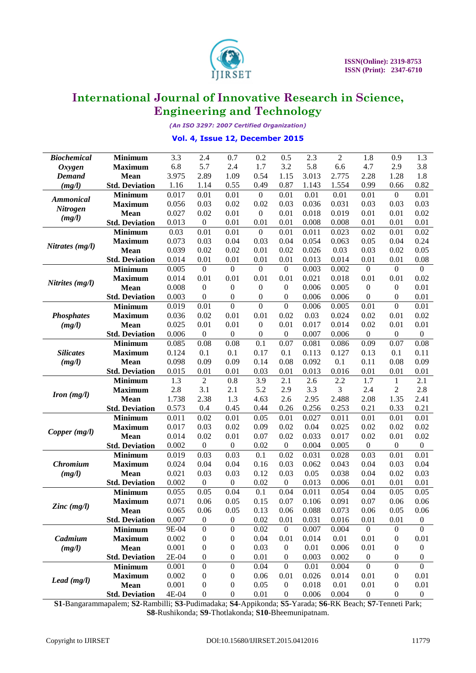

*(An ISO 3297: 2007 Certified Organization)*

### **Vol. 4, Issue 12, December 2015**

| <b>Biochemical</b> | <b>Minimum</b>        | 3.3   | 2.4               | 0.7              | 0.2              | 0.5              | 2.3   | $\overline{c}$ | 1.8              | 0.9              | 1.3              |
|--------------------|-----------------------|-------|-------------------|------------------|------------------|------------------|-------|----------------|------------------|------------------|------------------|
| <b>Oxygen</b>      | <b>Maximum</b>        | 6.8   | 5.7               | 2.4              | 1.7              | 3.2              | 5.8   | 6.6            | 4.7              | 2.9              | 3.8              |
| <b>Demand</b>      | <b>Mean</b>           | 3.975 | 2.89              | 1.09             | 0.54             | 1.15             | 3.013 | 2.775          | 2.28             | 1.28             | 1.8              |
| (mg/l)             | <b>Std. Deviation</b> | 1.16  | 1.14              | 0.55             | 0.49             | 0.87             | 1.143 | 1.554          | 0.99             | 0.66             | 0.82             |
| <b>Ammonical</b>   | <b>Minimum</b>        | 0.017 | 0.01              | 0.01             | $\boldsymbol{0}$ | 0.01             | 0.01  | 0.01           | 0.01             | $\overline{0}$   | 0.01             |
|                    | <b>Maximum</b>        | 0.056 | 0.03              | 0.02             | 0.02             | 0.03             | 0.036 | 0.031          | 0.03             | 0.03             | 0.03             |
| <b>Nitrogen</b>    | <b>Mean</b>           | 0.027 | 0.02              | 0.01             | $\mathbf{0}$     | 0.01             | 0.018 | 0.019          | 0.01             | 0.01             | 0.02             |
| (mg/l)             | <b>Std. Deviation</b> | 0.013 | $\boldsymbol{0}$  | 0.01             | 0.01             | 0.01             | 0.008 | 0.008          | 0.01             | 0.01             | 0.01             |
|                    | <b>Minimum</b>        | 0.03  | $\overline{0.01}$ | 0.01             | $\boldsymbol{0}$ | 0.01             | 0.011 | 0.023          | 0.02             | 0.01             | 0.02             |
|                    | <b>Maximum</b>        | 0.073 | 0.03              | 0.04             | 0.03             | 0.04             | 0.054 | 0.063          | 0.05             | 0.04             | 0.24             |
| Nitrates (mg/l)    | <b>Mean</b>           | 0.039 | 0.02              | 0.02             | 0.01             | 0.02             | 0.026 | 0.03           | 0.03             | 0.02             | 0.05             |
|                    | <b>Std. Deviation</b> | 0.014 | 0.01              | 0.01             | 0.01             | 0.01             | 0.013 | 0.014          | 0.01             | 0.01             | 0.08             |
|                    | <b>Minimum</b>        | 0.005 | $\boldsymbol{0}$  | $\boldsymbol{0}$ | $\boldsymbol{0}$ | $\mathbf{0}$     | 0.003 | 0.002          | $\boldsymbol{0}$ | $\mathbf{0}$     | $\boldsymbol{0}$ |
|                    | <b>Maximum</b>        | 0.014 | 0.01              | 0.01             | 0.01             | 0.01             | 0.021 | 0.018          | 0.01             | 0.01             | 0.02             |
| Nitrites (mg/l)    | <b>Mean</b>           | 0.008 | $\boldsymbol{0}$  | $\boldsymbol{0}$ | $\boldsymbol{0}$ | $\boldsymbol{0}$ | 0.006 | 0.005          | $\boldsymbol{0}$ | $\boldsymbol{0}$ | 0.01             |
|                    | <b>Std. Deviation</b> | 0.003 | $\mathbf{0}$      | $\boldsymbol{0}$ | $\boldsymbol{0}$ | $\boldsymbol{0}$ | 0.006 | 0.006          | $\boldsymbol{0}$ | 0                | 0.01             |
|                    | <b>Minimum</b>        | 0.019 | $\overline{0.01}$ | $\overline{0}$   | $\overline{0}$   | $\overline{0}$   | 0.006 | 0.005          | 0.01             | $\overline{0}$   | 0.01             |
| <b>Phosphates</b>  | <b>Maximum</b>        | 0.036 | 0.02              | 0.01             | 0.01             | 0.02             | 0.03  | 0.024          | 0.02             | 0.01             | 0.02             |
| (mg/l)             | <b>Mean</b>           | 0.025 | 0.01              | 0.01             | $\boldsymbol{0}$ | 0.01             | 0.017 | 0.014          | 0.02             | 0.01             | 0.01             |
|                    | <b>Std. Deviation</b> | 0.006 | $\boldsymbol{0}$  | $\boldsymbol{0}$ | $\boldsymbol{0}$ | $\boldsymbol{0}$ | 0.007 | 0.006          | $\boldsymbol{0}$ | $\boldsymbol{0}$ | $\boldsymbol{0}$ |
|                    | <b>Minimum</b>        | 0.085 | 0.08              | 0.08             | $\overline{0.1}$ | 0.07             | 0.081 | 0.086          | 0.09             | 0.07             | 0.08             |
| <b>Silicates</b>   | <b>Maximum</b>        | 0.124 | 0.1               | 0.1              | 0.17             | 0.1              | 0.113 | 0.127          | 0.13             | 0.1              | 0.11             |
| (mg/l)             | <b>Mean</b>           | 0.098 | 0.09              | 0.09             | 0.14             | 0.08             | 0.092 | 0.1            | 0.11             | 0.08             | 0.09             |
|                    | <b>Std. Deviation</b> | 0.015 | 0.01              | 0.01             | 0.03             | 0.01             | 0.013 | 0.016          | 0.01             | 0.01             | 0.01             |
|                    | <b>Minimum</b>        | 1.3   | $\overline{2}$    | 0.8              | 3.9              | 2.1              | 2.6   | 2.2            | 1.7              | $\mathbf{1}$     | 2.1              |
| Iron $(mg/l)$      | <b>Maximum</b>        | 2.8   | 3.1               | 2.1              | 5.2              | 2.9              | 3.3   | 3              | 2.4              | 2                | 2.8              |
|                    | <b>Mean</b>           | 1.738 | 2.38              | 1.3              | 4.63             | 2.6              | 2.95  | 2.488          | 2.08             | 1.35             | 2.41             |
|                    | <b>Std. Deviation</b> | 0.573 | 0.4               | 0.45             | 0.44             | 0.26             | 0.256 | 0.253          | 0.21             | 0.33             | 0.21             |
|                    | <b>Minimum</b>        | 0.011 | 0.02              | 0.01             | 0.05             | 0.01             | 0.027 | 0.011          | 0.01             | 0.01             | 0.01             |
| Copper (mg/l)      | <b>Maximum</b>        | 0.017 | 0.03              | 0.02             | 0.09             | 0.02             | 0.04  | 0.025          | 0.02             | 0.02             | 0.02             |
|                    | <b>Mean</b>           | 0.014 | 0.02              | 0.01             | 0.07             | 0.02             | 0.033 | 0.017          | 0.02             | 0.01             | 0.02             |
|                    | <b>Std. Deviation</b> | 0.002 | $\boldsymbol{0}$  | $\boldsymbol{0}$ | 0.02             | $\boldsymbol{0}$ | 0.004 | 0.005          | $\boldsymbol{0}$ | $\boldsymbol{0}$ | $\boldsymbol{0}$ |
|                    | <b>Minimum</b>        | 0.019 | 0.03              | 0.03             | 0.1              | 0.02             | 0.031 | 0.028          | 0.03             | 0.01             | 0.01             |
| Chromium           | <b>Maximum</b>        | 0.024 | 0.04              | 0.04             | 0.16             | 0.03             | 0.062 | 0.043          | 0.04             | 0.03             | 0.04             |
| (mg/l)             | Mean                  | 0.021 | 0.03              | 0.03             | 0.12             | 0.03             | 0.05  | 0.038          | 0.04             | 0.02             | 0.03             |
|                    | <b>Std. Deviation</b> | 0.002 | $\boldsymbol{0}$  | $\boldsymbol{0}$ | 0.02             | $\boldsymbol{0}$ | 0.013 | 0.006          | 0.01             | 0.01             | 0.01             |
|                    | <b>Minimum</b>        | 0.055 | 0.05              | 0.04             | 0.1              | 0.04             | 0.011 | 0.054          | 0.04             | 0.05             | 0.05             |
|                    | <b>Maximum</b>        | 0.071 | 0.06              | 0.05             | 0.15             | 0.07             | 0.106 | 0.091          | 0.07             | 0.06             | 0.06             |
| Zinc (mg/l)        | Mean                  | 0.065 | 0.06              | 0.05             | 0.13             | 0.06             | 0.088 | 0.073          | 0.06             | 0.05             | 0.06             |
|                    | <b>Std. Deviation</b> | 0.007 | $\boldsymbol{0}$  | $\boldsymbol{0}$ | 0.02             | 0.01             | 0.031 | 0.016          | 0.01             | 0.01             | $\boldsymbol{0}$ |
|                    | <b>Minimum</b>        | 9E-04 | $\mathbf{0}$      | $\boldsymbol{0}$ | 0.02             | $\boldsymbol{0}$ | 0.007 | 0.004          | $\boldsymbol{0}$ | $\boldsymbol{0}$ | $\overline{0}$   |
| Cadmium            | <b>Maximum</b>        | 0.002 | 0                 | $\boldsymbol{0}$ | 0.04             | 0.01             | 0.014 | 0.01           | 0.01             | $\boldsymbol{0}$ | 0.01             |
| (mg/l)             | <b>Mean</b>           | 0.001 | $\boldsymbol{0}$  | $\boldsymbol{0}$ | 0.03             | $\boldsymbol{0}$ | 0.01  | 0.006          | 0.01             | 0                | $\boldsymbol{0}$ |
|                    | <b>Std. Deviation</b> | 2E-04 | $\boldsymbol{0}$  | $\boldsymbol{0}$ | 0.01             | 0                | 0.003 | 0.002          | $\boldsymbol{0}$ | 0                | 0                |
|                    | <b>Minimum</b>        | 0.001 | $\boldsymbol{0}$  | $\boldsymbol{0}$ | 0.04             | $\boldsymbol{0}$ | 0.01  | 0.004          | $\boldsymbol{0}$ | $\boldsymbol{0}$ | $\boldsymbol{0}$ |
| Lead $(mg/l)$      | <b>Maximum</b>        | 0.002 | $\boldsymbol{0}$  | $\boldsymbol{0}$ | 0.06             | 0.01             | 0.026 | 0.014          | 0.01             | 0                | 0.01             |
|                    | <b>Mean</b>           | 0.001 | $\boldsymbol{0}$  | $\boldsymbol{0}$ | 0.05             | $\boldsymbol{0}$ | 0.018 | 0.01           | 0.01             | $\boldsymbol{0}$ | 0.01             |
|                    | <b>Std. Deviation</b> | 4E-04 | $\boldsymbol{0}$  | $\boldsymbol{0}$ | 0.01             | $\boldsymbol{0}$ | 0.006 | 0.004          | $\boldsymbol{0}$ | $\boldsymbol{0}$ | $\boldsymbol{0}$ |
|                    |                       |       |                   |                  |                  |                  |       |                |                  |                  |                  |

**S1**-Bangarammapalem; **S2**-Rambilli; **S3**-Pudimadaka; **S4**-Appikonda; **S5**-Yarada; **S6**-RK Beach; **S7**-Tenneti Park; **S8**-Rushikonda; **S9**-Thotlakonda; **S10**-Bheemunipatnam.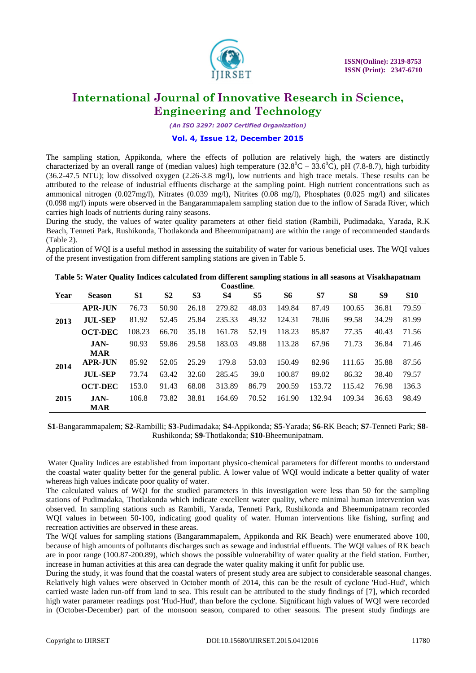

*(An ISO 3297: 2007 Certified Organization)*

#### **Vol. 4, Issue 12, December 2015**

The sampling station, Appikonda, where the effects of pollution are relatively high, the waters are distinctly characterized by an overall range of (median values) high temperature (32.8<sup>0</sup>C – 33.6<sup>0</sup>C), pH (7.8-8.7), high turbidity (36.2-47.5 NTU); low dissolved oxygen (2.26-3.8 mg/l), low nutrients and high trace metals. These results can be attributed to the release of industrial effluents discharge at the sampling point. High nutrient concentrations such as ammonical nitrogen (0.027mg/l), Nitrates (0.039 mg/l), Nitrites (0.08 mg/l), Phosphates (0.025 mg/l) and silicates (0.098 mg/l) inputs were observed in the Bangarammapalem sampling station due to the inflow of Sarada River, which carries high loads of nutrients during rainy seasons.

During the study, the values of water quality parameters at other field station (Rambili, Pudimadaka, Yarada, R.K Beach, Tenneti Park, Rushikonda, Thotlakonda and Bheemunipatnam) are within the range of recommended standards (Table 2).

Application of WQI is a useful method in assessing the suitability of water for various beneficial uses. The WQI values of the present investigation from different sampling stations are given in Table 5.

| Year | <b>Season</b>  | <b>S1</b> | S <sub>2</sub> | S <sub>3</sub> | <b>S4</b> | S <sub>5</sub> | <b>S6</b> | S7     | S <sub>8</sub> | S9    | <b>S10</b> |
|------|----------------|-----------|----------------|----------------|-----------|----------------|-----------|--------|----------------|-------|------------|
|      | <b>APR-JUN</b> | 76.73     | 50.90          | 26.18          | 279.82    | 48.03          | 149.84    | 87.49  | 100.65         | 36.81 | 79.59      |
| 2013 | <b>JUL-SEP</b> | 81.92     | 52.45          | 25.84          | 235.33    | 49.32          | 124.31    | 78.06  | 99.58          | 34.29 | 81.99      |
|      | <b>OCT-DEC</b> | 108.23    | 66.70          | 35.18          | 161.78    | 52.19          | 118.23    | 85.87  | 77.35          | 40.43 | 71.56      |
|      | $JAN-$         | 90.93     | 59.86          | 29.58          | 183.03    | 49.88          | 113.28    | 67.96  | 71.73          | 36.84 | 71.46      |
|      | <b>MAR</b>     |           |                |                |           |                |           |        |                |       |            |
| 2014 | <b>APR-JUN</b> | 85.92     | 52.05          | 25.29          | 179.8     | 53.03          | 150.49    | 82.96  | 111.65         | 35.88 | 87.56      |
|      | <b>JUL-SEP</b> | 73.74     | 63.42          | 32.60          | 285.45    | 39.0           | 100.87    | 89.02  | 86.32          | 38.40 | 79.57      |
|      | <b>OCT-DEC</b> | 153.0     | 91.43          | 68.08          | 313.89    | 86.79          | 200.59    | 153.72 | 115.42         | 76.98 | 136.3      |
| 2015 | $JAN-$         | 106.8     | 73.82          | 38.81          | 164.69    | 70.52          | 161.90    | 132.94 | 109.34         | 36.63 | 98.49      |
|      | <b>MAR</b>     |           |                |                |           |                |           |        |                |       |            |

**Table 5: Water Quality Indices calculated from different sampling stations in all seasons at Visakhapatnam Coastline**.

**S1**-Bangarammapalem; **S2**-Rambilli; **S3**-Pudimadaka; **S4**-Appikonda; **S5**-Yarada; **S6**-RK Beach; **S7**-Tenneti Park; **S8**- Rushikonda; **S9**-Thotlakonda; **S10**-Bheemunipatnam.

Water Quality Indices are established from important physico-chemical parameters for different months to understand the coastal water quality better for the general public. A lower value of WQI would indicate a better quality of water whereas high values indicate poor quality of water.

The calculated values of WQI for the studied parameters in this investigation were less than 50 for the sampling stations of Pudimadaka, Thotlakonda which indicate excellent water quality, where minimal human intervention was observed. In sampling stations such as Rambili, Yarada, Tenneti Park, Rushikonda and Bheemunipatnam recorded WQI values in between 50-100, indicating good quality of water. Human interventions like fishing, surfing and recreation activities are observed in these areas.

The WQI values for sampling stations (Bangarammapalem, Appikonda and RK Beach) were enumerated above 100, because of high amounts of pollutants discharges such as sewage and industrial effluents. The WQI values of RK beach are in poor range (100.87-200.89), which shows the possible vulnerability of water quality at the field station. Further, increase in human activities at this area can degrade the water quality making it unfit for public use.

During the study, it was found that the coastal waters of present study area are subject to considerable seasonal changes. Relatively high values were observed in October month of 2014, this can be the result of cyclone 'Hud-Hud', which carried waste laden run-off from land to sea. This result can be attributed to the study findings of [7], which recorded high water parameter readings post 'Hud-Hud', than before the cyclone. Significant high values of WQI were recorded in (October-December) part of the monsoon season, compared to other seasons. The present study findings are